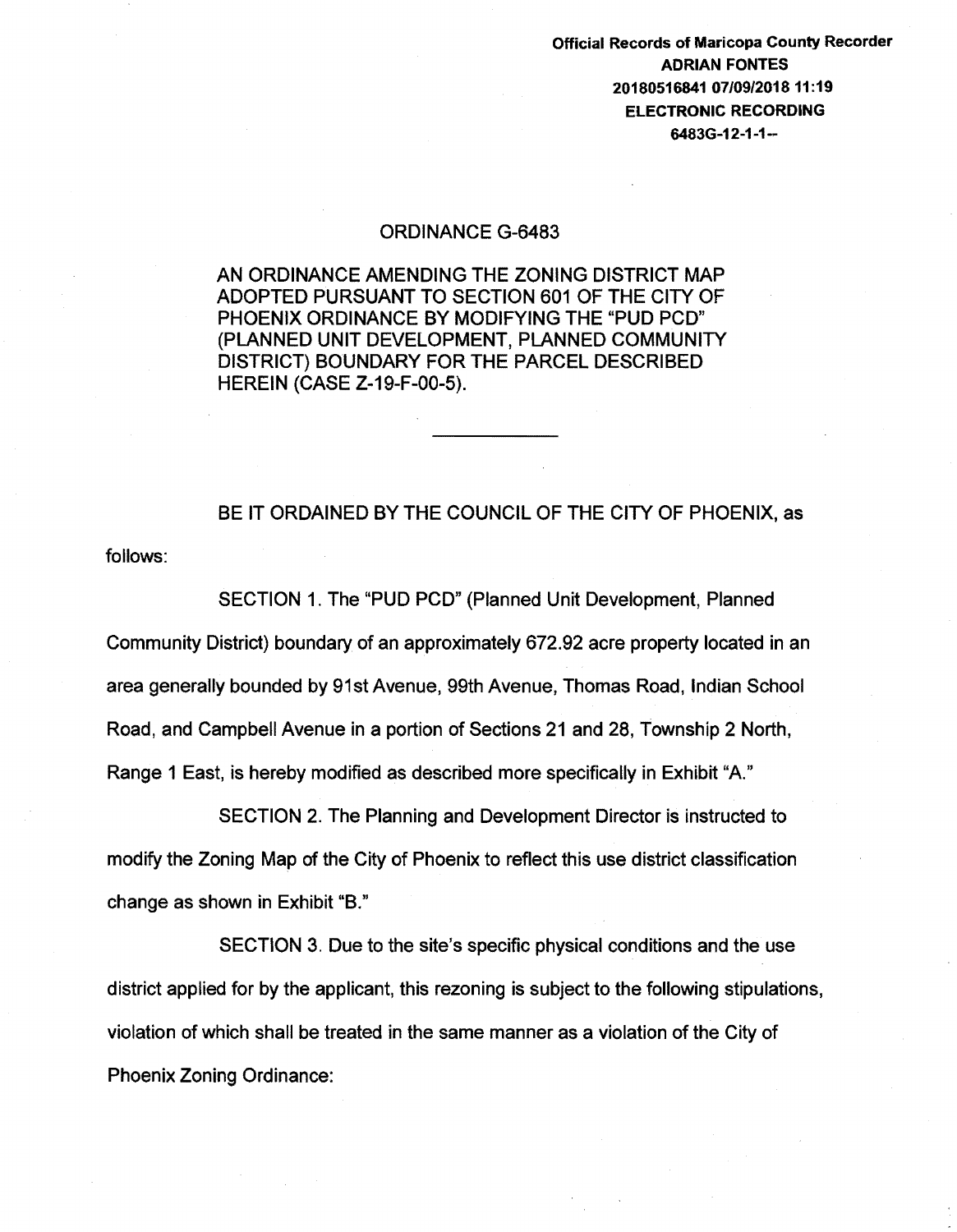Official Records of Maricopa County Recorder ADRIAN FONTES 20180516841 07/09/201811:19 ELECTRONIC RECORDING 6483G-12-1-1-

## ORDINANCE G-6483

AN ORDINANCE AMENDING THE ZONING DISTRICT MAP ADOPTED PURSUANT TO SECTION 601 OF THE CITY OF PHOENIX ORDINANCE BY MODIFYING THE "PUD PCD" (PLANNED UNIT DEVELOPMENT, PLANNED COMMUNITY DISTRICT) BOUNDARY FOR THE PARCEL DESCRIBED HEREIN (CASE Z-19-F-00-5).

BE IT ORDAINED BY THE COUNCIL OF THE CITY OF PHOENIX, as

follows:

SECTION 1. The "PUD PCD" (Planned Unit Development, Planned Community District) boundary of an approximately 672.92 acre property located in an area generally bounded by 91st Avenue, 99th Avenue, Thomas Road, Indian School Road, and Campbell Avenue in a portion of Sections 21 and 28, Township 2 North, Range 1 East, is hereby modified as described more specifically in Exhibit "A"

SECTION 2. The Planning and Development Director is instructed to modify the Zoning Map of the City of Phoenix to reflect this use district classification change as shown in Exhibit "B."

SECTION 3. Due to the site's specific physical conditions and the use district applied for by the applicant, this rezoning is subject to the following stipulations, violation of which shall be treated in the same manner as a violation of the City of Phoenix Zoning Ordinance: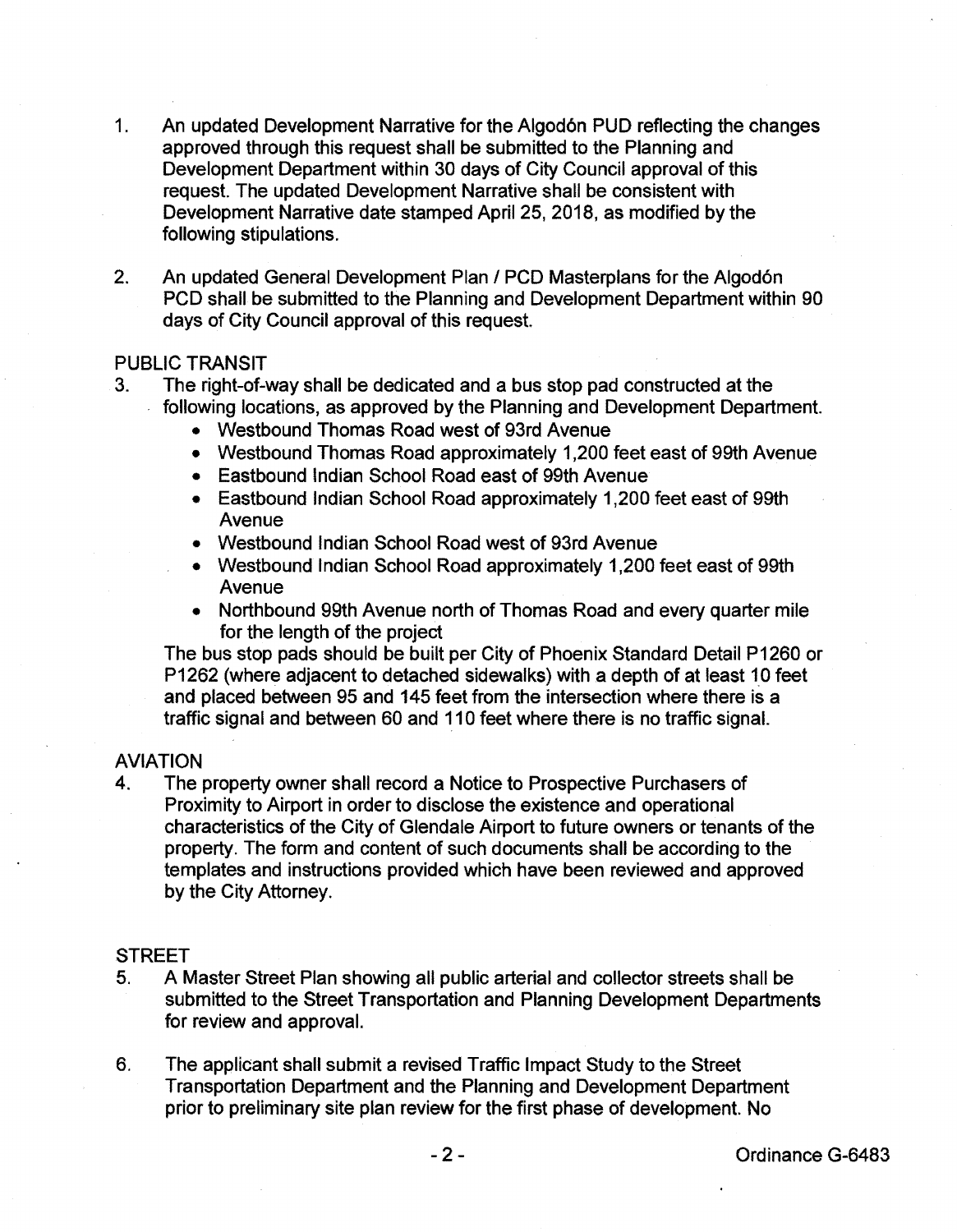- 1. An updated Development Narrative for the Algodón PUD reflecting the changes approved through this request shall be submitted to the Planning and Development Department within 30 days of City Council approval of this request. The updated Development Narrative shall be consistent with Development Narrative date stamped April 25, 2018, as modified by the following stipulations.
- 2. An updated General Development Plan / PCD Masterplans for the Algodón PCD shall be submitted to the Planning and Development Department within 90 days of City Council approval of this request.

## PUBLIC TRANSIT

- 3. The right-of-way shall be dedicated and a bus stop pad constructed at the following locations, as approved by the Planning and Development Department.
	- Westbound Thomas Road west of 93rd Avenue
	- Westbound Thomas Road approximately 1 ,200 feet east of 99th Avenue
	- Eastbound Indian School Road east of 99th Avenue
	- Eastbound Indian School Road approximately 1 ,200 feet east of 99th Avenue
	- Westbound Indian School Road west of 93rd Avenue
	- Westbound Indian School Road approximately 1 ,200 feet east of 99th Avenue
	- Northbound 99th Avenue north of Thomas Road and every quarter mile for the length of the project

The bus stop pads should be built per City of Phoenix Standard Detail P1260 or P1262 (where adjacent to detached sidewalks) with a depth of at least 10 feet and placed between 95 and 145 feet from the intersection where there is a traffic signal and between 60 and 110 feet where there is no traffic signal.

# AVIATION

4. The property owner shall record a Notice to Prospective Purchasers of Proximity to Airport in order to disclose the existence and operational characteristics of the City of Glendale Airport to future owners or tenants of the property. The form and content of such documents shall be according to the templates and instructions provided which have been reviewed and approved by the City Attorney.

## **STREET**

- 5. A Master Street Plan showing all public arterial and collector streets shall be submitted to the Street Transportation and Planning Development Departments for review and approval.
- 6. The applicant shall submit a revised Traffic Impact Study to the Street Transportation Department and the Planning and Development Department prior to preliminary site plan review for the first phase of development. No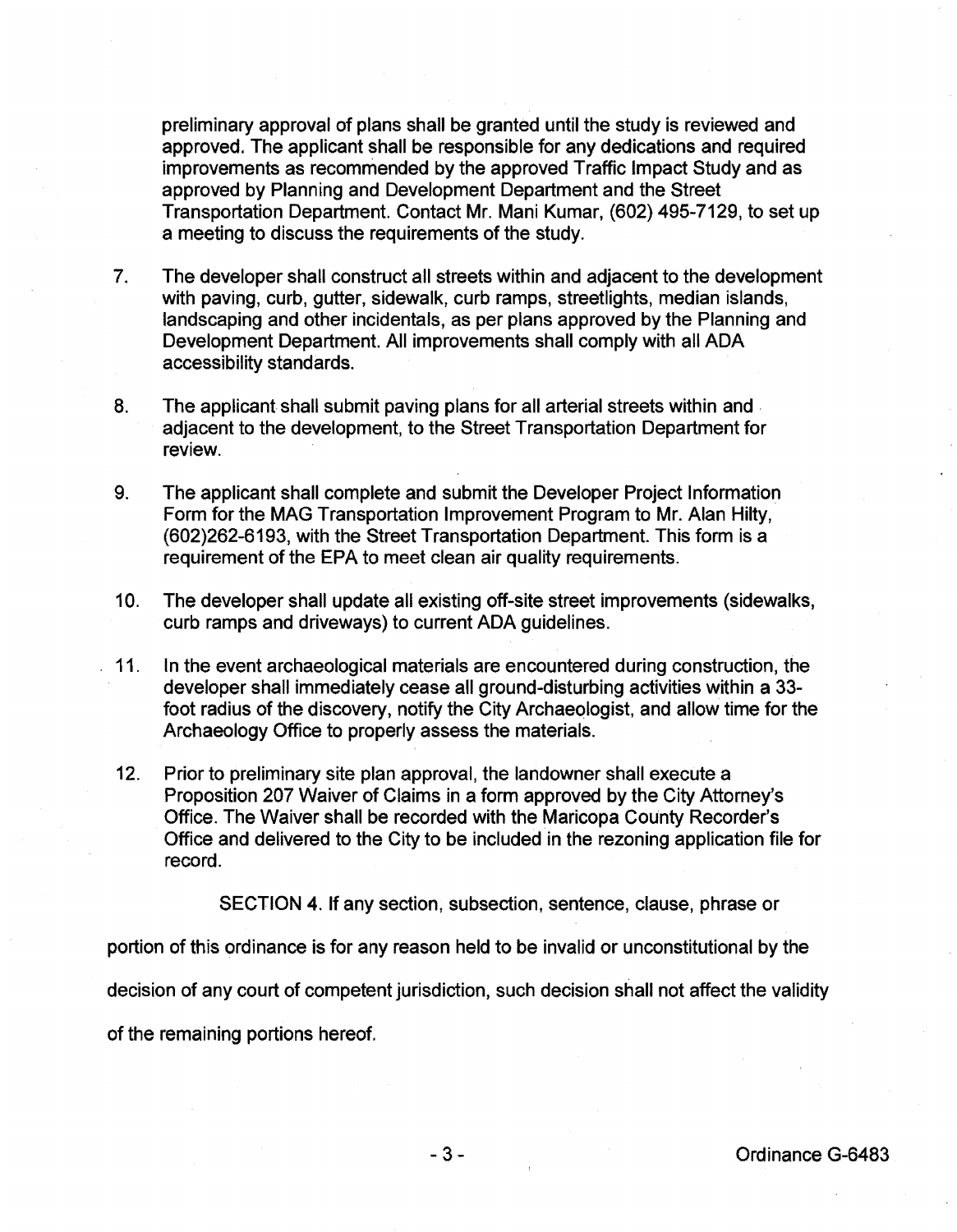preliminary approval of plans shall be granted until the study is reviewed and approved. The applicant shall be responsible for any dedications and required improvements as recommended by the approved Traffic Impact Study and as approved by Planning and Development Department and the Street Transportation Department. Contact Mr. Mani Kumar, (602) 495-7129, to set up a meeting to discuss the requirements of the study.

- 7. The developer shall construct all streets within and adjacent to the development with paving, curb, gutter, sidewalk, curb ramps, streetlights, median islands, landscaping and other incidentals, as per plans approved by the Planning and Development Department. All improvements shall comply with all ADA accessibility standards.
- 8. The applicant shall submit paving plans for all arterial streets within and adjacent to the development, to the Street Transportation Department for review.
- 9. The applicant shall complete and submit the Developer Project Information Form for the MAG Transportation Improvement Program to Mr. Alan Hilty, (602)262-6193, with the Street Transportation Department. This form is a requirement of the EPA to meet clean air quality requirements.
- 10. The developer shall update all existing off-site street improvements (sidewalks, curb ramps and driveways) to current ADA guidelines.
- . 11. In the event archaeological materials are encountered during construction, the developer shall immediately cease all ground-disturbing activities within a 33 foot radius of the discovery, notify the City Archaeologist, and allow time for the Archaeology Office to properly assess the materials.
- 12. Prior to preliminary site plan approval, the landowner shall execute a Proposition 207 Waiver of Claims in a form approved by the City Attorney's Office. The Waiver shall be recorded with the Maricopa County Recorder's Office and delivered to the City to be included in the rezoning application file for record.

SECTION 4. If any section, subsection, sentence, clause, phrase or

portion of this ordinance is for any reason held to be invalid or unconstitutional by the

decision of any court of competent jurisdiction, such decision shall not affect the validity

of the remaining portions hereof.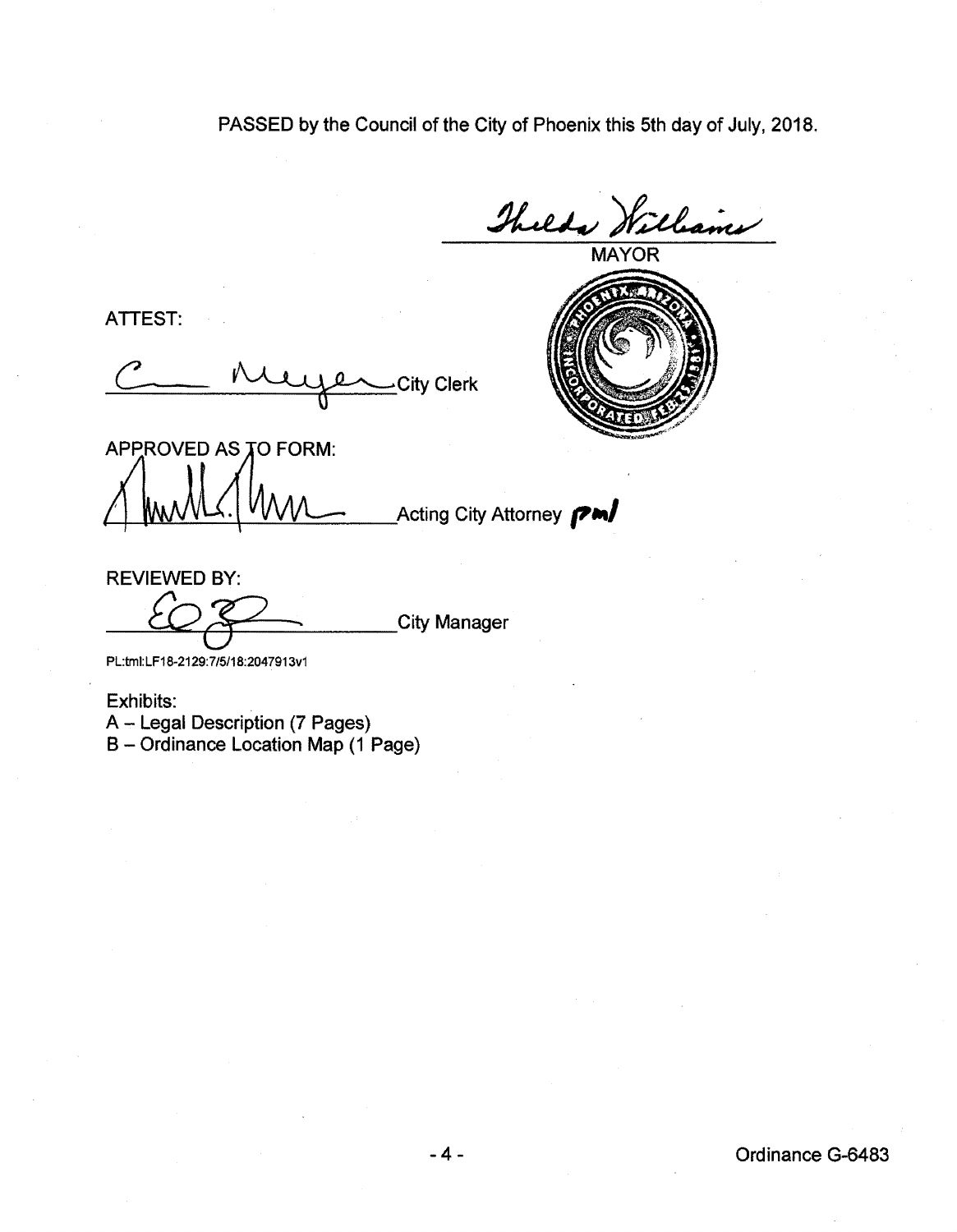PASSED by the Council of the City of Phoenix this 5th day of July, 2018.

Thelds Williams

ATTEST:

C Muyen City Clerk City Clerk<br>APPROVED AS TO FORM:



Acting City Attorney **PM** 

REVIEWED BY:

\_City Manager

PL:tmi:LF18·2129:7/5/18:2047913v1

Exhibits:

A - Legal Description (7 Pages) B- Ordinance Location Map (1 Page)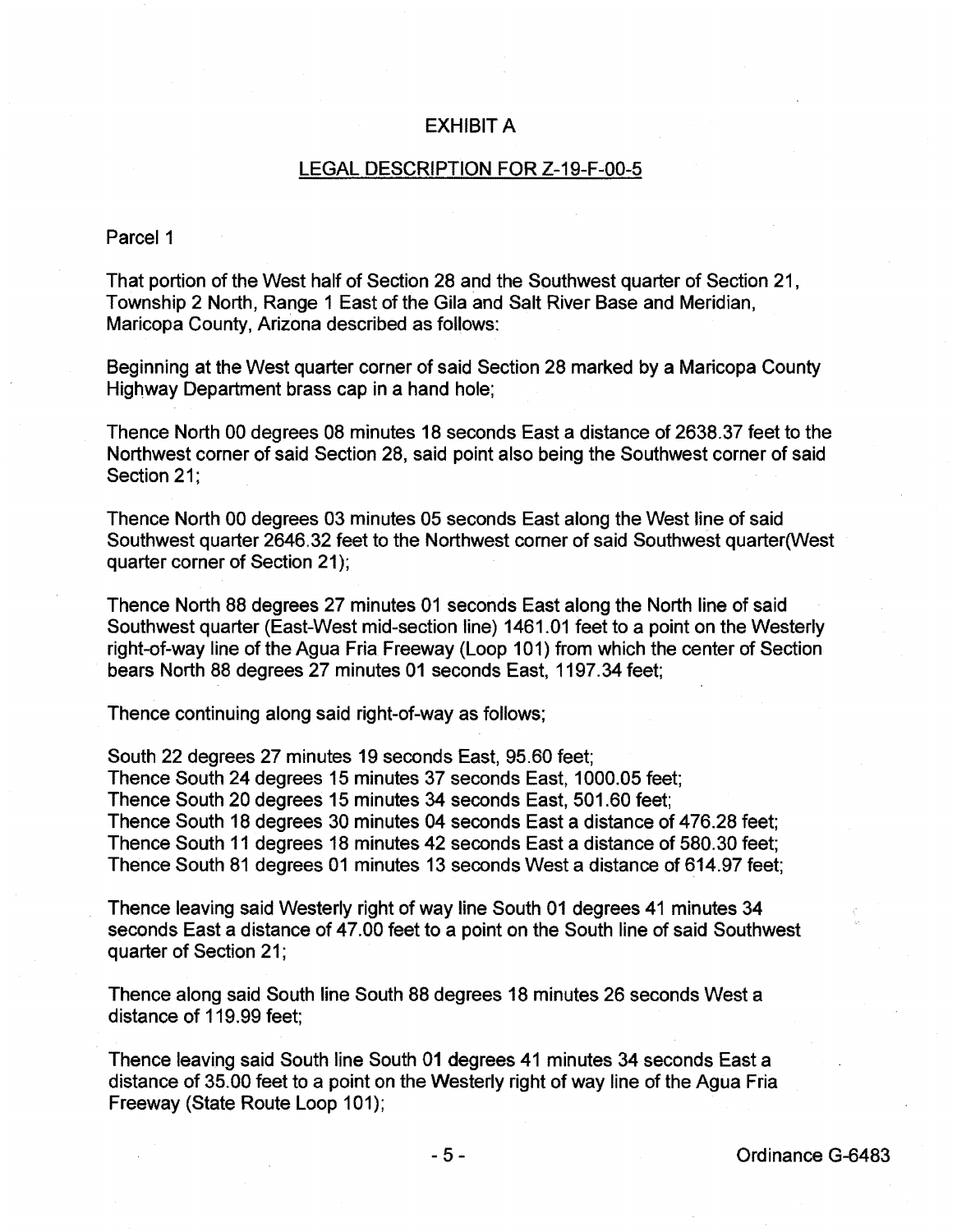## EXHIBIT A

#### LEGAL DESCRIPTION FOR Z-19-F-00-5

#### Parcel 1

That portion of the West half of Section 28 and the Southwest quarter of Section 21, Township 2 North, Range 1 East of the Gila and Salt River Base and Meridian, Maricopa County, Arizona described as follows:

Beginning at the West quarter corner of said Section 28 marked by a Maricopa County Highway Department brass cap in a hand hole;

Thence North 00 degrees 08 minutes 18 seconds East a distance of 2638.37 feet to the Northwest corner of said Section 28, said point also being the Southwest corner of said Section 21;

Thence North 00 degrees 03 minutes 05 seconds East along the West line of said Southwest quarter 2646.32 feet to the Northwest corner of said Southwest quarter(West quarter corner of Section 21);

Thence North 88 degrees 27 minutes 01 seconds East along the North line of said Southwest quarter (East-West mid-section line) 1461.01 feet to a point on the Westerly right-of-way line of the Agua Fria Freeway (Loop 101) from which the center of Section bears North 88 degrees 27 minutes 01 seconds East, 1197.34 feet;

Thence continuing along said right-of-way as follows;

South 22 degrees 27 minutes 19 seconds East, 95.60 feet; Thence South 24 degrees 15 minutes 37 seconds East, 1000.05 feet; Thence South 20 degrees 15 minutes 34 seconds East, 501.60 feet; Thence South 18 degrees 30 minutes 04 seconds East a distance of 476.28 feet; Thence South 11 degrees 18 minutes 42 seconds East a distance of 580.30 feet; Thence South 81 degrees 01 minutes 13 seconds West a distance of 614.97 feet;

Thence leaving said Westerly right of way line South 01 degrees 41 minutes 34 seconds East a distance of 47.00 feet to a point on the South line of said Southwest quarter of Section 21;

Thence along said South line South 88 degrees 18 minutes 26 seconds West a distance of 119.99 feet;

Thence leaving said South line South 01 degrees 41 minutes 34 seconds East a distance of 35.00 feet to a point on the Westerly right of way line of the Agua Fria Freeway (State Route Loop 101);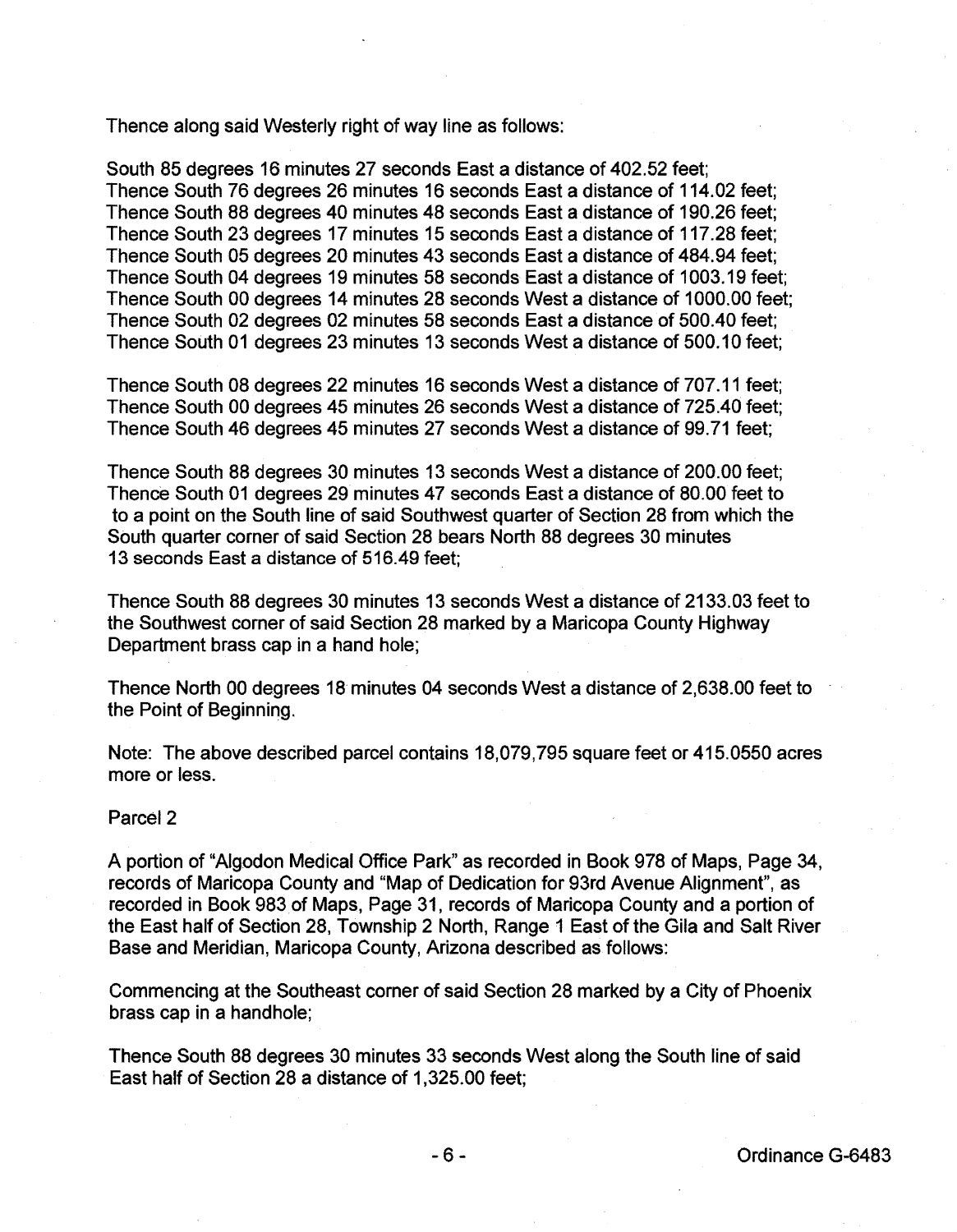Thence along said Westerly right of way line as follows:

South 85 degrees 16 minutes 27 seconds East a distance of 402.52 feet; Thence South 76 degrees 26 minutes 16 seconds East a distance of 114.02 feet; Thence South 88 degrees 40 minutes 48 seconds East a distance of 190.26 feet; Thence South 23 degrees 17 minutes 15 seconds East a distance of 117.28 feet; Thence South 05 degrees 20 minutes 43 seconds East a distance of 484.94 feet; Thence South 04 degrees 19 minutes 58 seconds East a distance of 1003.19 feet; Thence South 00 degrees 14 minutes 28 seconds West a distance of 1000.00 feet; Thence South 02 degrees 02 minutes 58 seconds East a distance of 500.40 feet; Thence South 01 degrees 23 minutes 13 seconds West a distance of 500.10 feet;

Thence South 08 degrees 22 minutes 16 seconds West a distance of 707.11 feet; Thence South 00 degrees 45 minutes 26 seconds West a distance of 725.40 feet; Thence South 46 degrees 45 minutes 27 seconds West a distance of 99.71 feet;

Thence South 88 degrees 30 minutes 13 seconds West a distance of 200.00 feet; Thence South 01 degrees 29 minutes 47 seconds East a distance of 80.00 feet to to a point on the South line of said Southwest quarter of Section 28 from which the South quarter corner of said Section 28 bears North 88 degrees 30 minutes 13 seconds East a distance of 516.49 feet;

Thence South 88 degrees 30 minutes 13 seconds West a distance of 2133.03 feet to the Southwest corner of said Section 28 marked by a Maricopa County Highway Department brass cap in a hand hole;

Thence North 00 degrees 18 minutes 04 seconds West a distance of 2,638.00 feet to the Point of Beginning.

Note: The above described parcel contains 18,079,795 square feet or 415.0550 acres more or less.

## Parcel<sub>2</sub>

A portion of "Algodon Medical Office Park" as recorded in Book 978 of Maps, Page 34, records of Maricopa County and "Map of Dedication for 93rd Avenue Alignment", as recorded in Book 983of Maps, Page 31, records of Maricopa County and a portion of the East half of Section 28, Township 2 North, Range 1 East of the Gila and Salt River Base and Meridian, Maricopa County, Arizona described as follows:

Commencing at the Southeast corner of said Section 28 marked by a City of Phoenix brass cap in a handhole;

Thence South 88 degrees 30 minutes 33 seconds West along the South line of said East half of Section 28 a distance of 1,325.00 feet;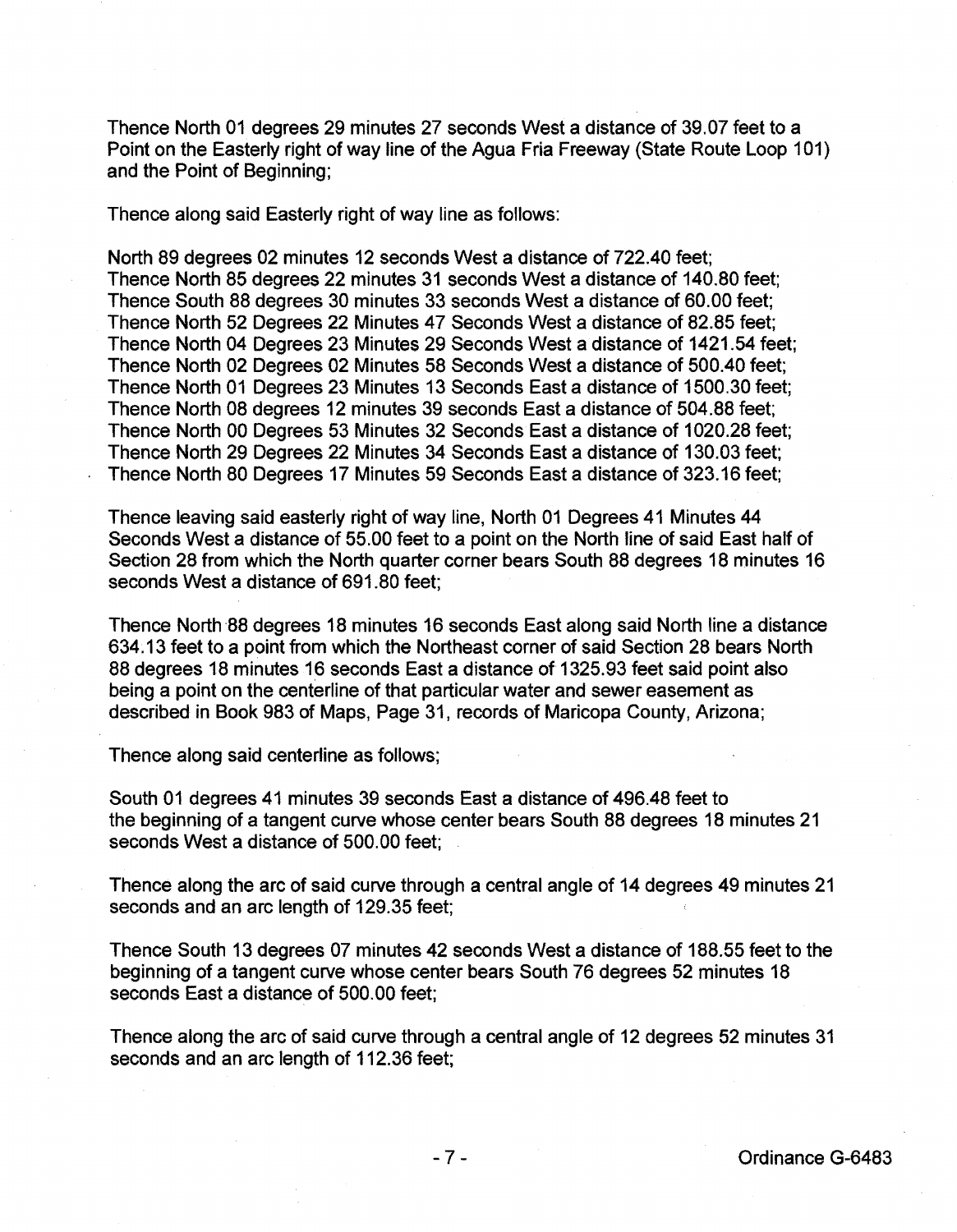Thence North 01 degrees 29 minutes 27 seconds West a distance of 39.07 feet to a Point on the Easterly right of way line of the Agua Fria Freeway (State Route Loop 101) and the Point of Beginning;

Thence along said Easterly right of way line as follows:

North 89 degrees 02 minutes 12 seconds West a distance of 722.40 feet; Thence North 85 degrees 22 minutes 31 seconds West a distance of 140.80 feet; Thence South 88 degrees 30 minutes 33 seconds West a distance of 60.00 feet; Thence North 52 Degrees 22 Minutes 47 Seconds West a distance of 82.85 feet; Thence North 04 Degrees 23 Minutes 29 Seconds West a distance of 1421.54 feet; Thence North 02 Degrees 02 Minutes 58 Seconds West a distance of 500.40 feet; Thence North 01 Degrees 23 Minutes 13 Seconds East a distance of 1500.30 feet; Thence North 08 degrees 12 minutes 39 seconds East a distance of 504.88 feet; Thence North 00 Degrees 53 Minutes 32 Seconds East a distance of 1020.28 feet; Thence North 29 Degrees 22 Minutes 34 Seconds East a distance of 130.03 feet; Thence North 80 Degrees 17 Minutes 59 Seconds East a distance of 323.16 feet;

Thence leaving said easterly right of way line, North 01 Degrees 41 Minutes 44 Seconds West a distance of 55.00 feet to a point on the North line of said East half of Section 28 from which the North quarter corner bears South 88 degrees 18 minutes 16 seconds West a distance of 691.80 feet;

Thence North·88 degrees 18 minutes 16 seconds East along said North line a distance 634.13 feet to a point from which the Northeast corner of said Section 28 bears North 88 degrees 18 minutes 16 seconds East a distance of 1325.93 feet said point also being a point on the centerline of that particular water and sewer easement as described in Book 983 of Maps, Page 31, records of Maricopa County, Arizona;

Thence along said centerline as follows;

South 01 degrees 41 minutes 39 seconds East a distance of 496.48 feet to the beginning of a tangent curve whose center bears South 88 degrees 18 minutes 21 seconds West a distance of 500.00 feet;

Thence along the arc of said curve through a central angle of 14 degrees 49 minutes 21 seconds and an arc length of 129.35 feet;

Thence South 13 degrees 07 minutes 42 seconds West a distance of 188.55 feet to the beginning of a tangent curve whose center bears South 76 degrees 52 minutes 18 seconds East a distance of 500.00 feet;

Thence along the arc of said curve through a central angle of 12 degrees 52 minutes 31 seconds and an arc length of 112.36 feet;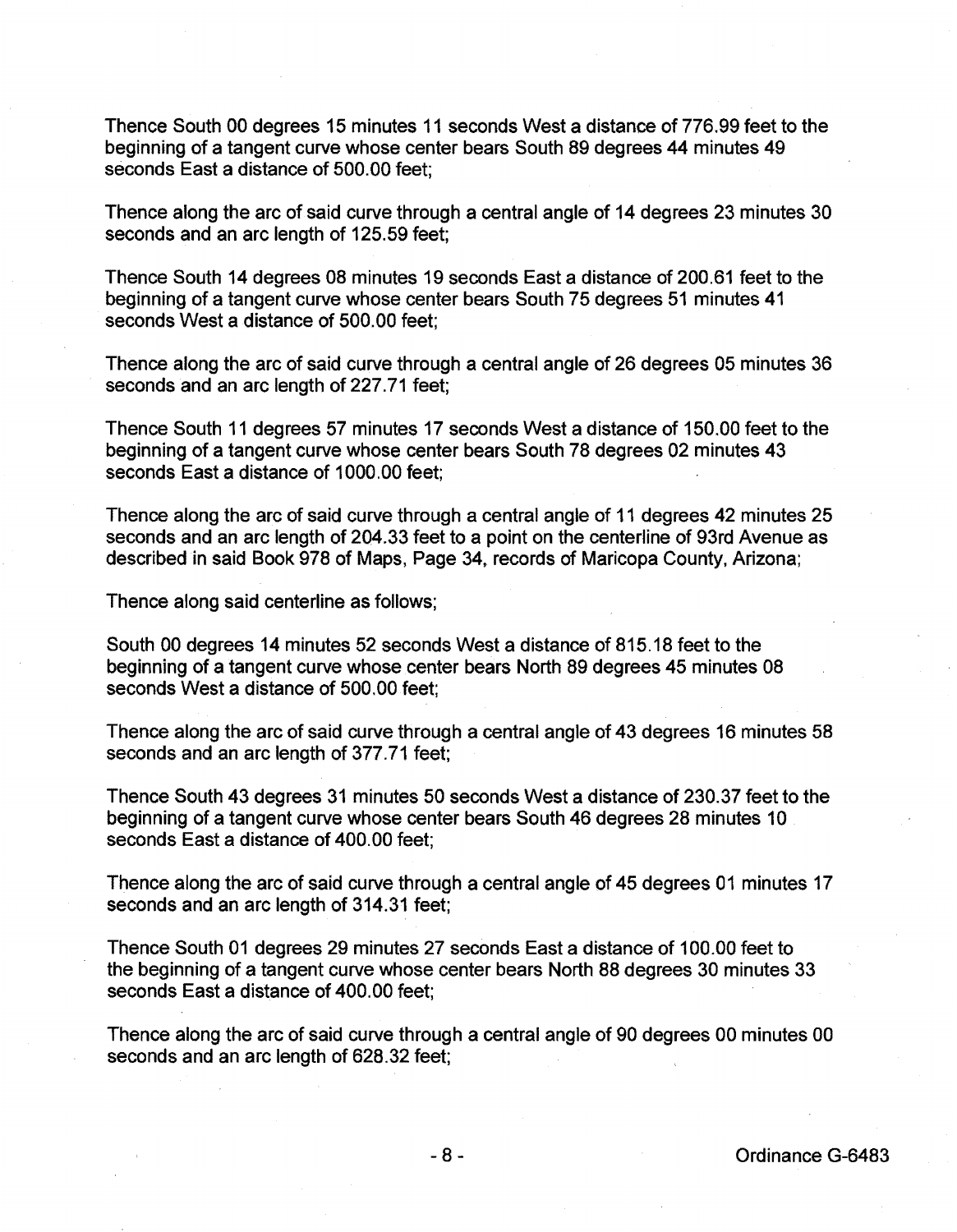Thence South 00 degrees 15 minutes 11 seconds West a distance of 776.99 feet to the beginning of a tangent curve whose center bears South 89 degrees 44 minutes 49 seconds East a distance of 500.00 feet;

Thence along the arc of said curve through a central angle of 14 degrees 23 minutes 30 seconds and an arc length of 125.59 feet;

Thence South 14 degrees 08 minutes 19 seconds East a distance of 200.61 feet to the beginning of a tangent curve whose center bears South 75 degrees 51 minutes 41 seconds West a distance of 500.00 feet;

Thence along the arc of said curve through a central angle of 26 degrees 05 minutes 36 seconds and an arc length of 227.71 feet;

Thence South 11 degrees 57 minutes 17 seconds West a distance of 150.00 feet to the beginning of a tangent curve whose center bears South 78 degrees 02 minutes 43 seconds East a distance of 1000.00 feet;

Thence along the arc of said curve through a central angle of 11 degrees 42 minutes 25 seconds and an arc length of 204.33 feet to a point on the centerline of 93rd Avenue as described in said Book 978 of Maps, Page 34, records of Maricopa County, Arizona;

Thence along said centerline as follows;

South 00 degrees 14 minutes 52 seconds West a distance of 815.18 feet to the beginning of a tangent curve whose center bears North 89 degrees 45 minutes 08 seconds West a distance of 500.00 feet;

Thence along the arc of said curve through a central angle of 43 degrees 16 minutes 58 seconds and an arc length of 377.71 feet;

Thence South 43 degrees 31 minutes 50 seconds West a distance of 230.37 feet to the beginning of a tangent curve whose center bears South 46 degrees 28 minutes 10 seconds East a distance of 400.00 feet;

Thence along the arc of said curve through a central angle of 45 degrees 01 minutes 17 seconds and an arc length of 314.31 feet;

Thence South 01 degrees 29 minutes 27 seconds East a distance of 100.00 feet to the beginning of a tangent curve whose center bears North 88 degrees 30 minutes 33 seconds East a distance of 400.00 feet;

Thence along the arc of said curve through a central angle of 90 degrees 00 minutes 00 seconds and an arc length of 628.32 feet;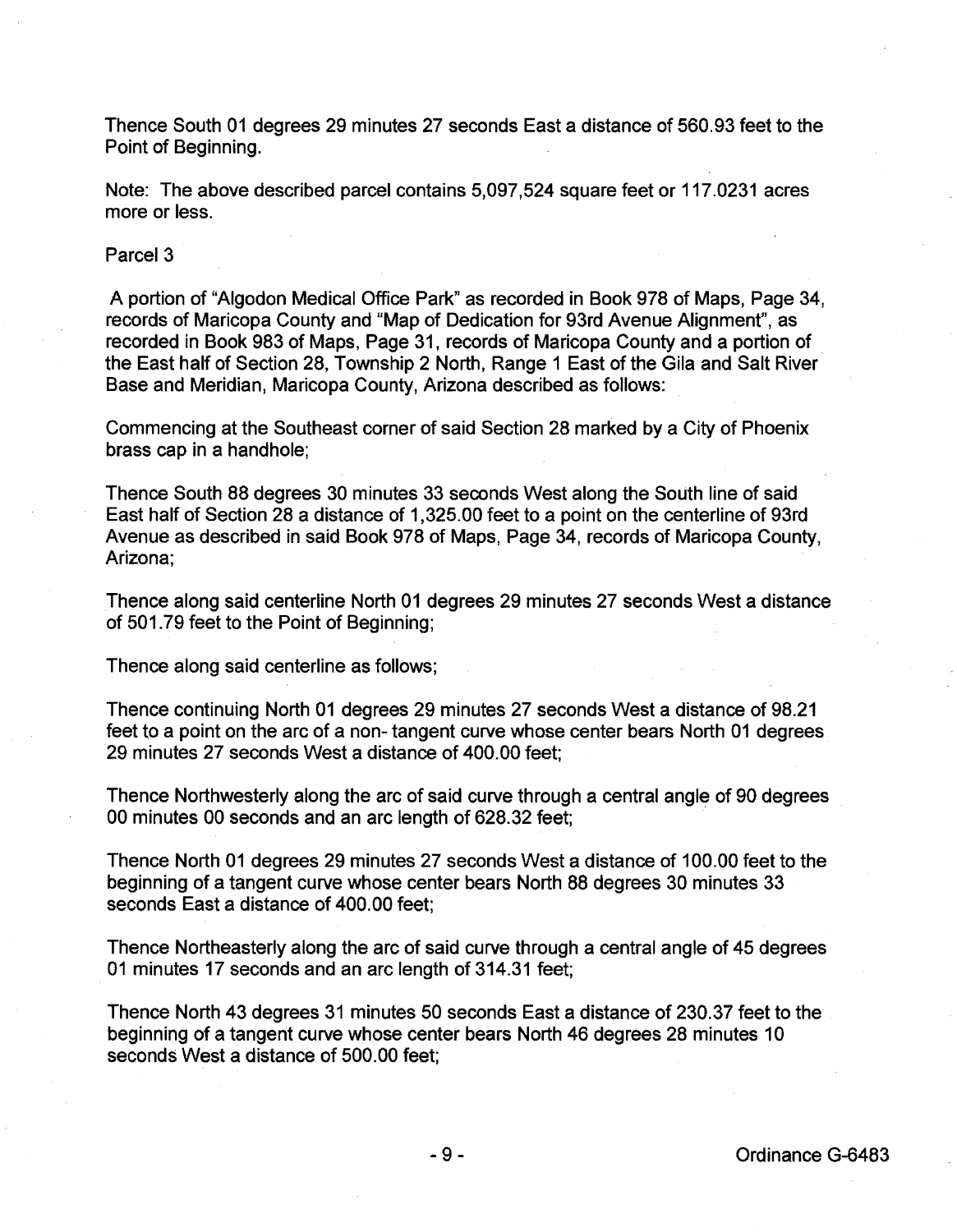Thence South 01 degrees 29 minutes 27 seconds East a distance of 560.93 feet to the Point of Beginning.

Note: The above described parcel contains 5,097,524 square feet or 117.0231 acres more or less.

Parcel<sub>3</sub>

A portion of "Aigodon Medical Office Park" as recorded in Book 978 of Maps, Page 34, records of Maricopa County and "Map of Dedication for 93rd Avenue Alignment", as recorded in Book 983 of Maps, Page 31 , records of Maricopa County and a portion of the East half of Section 28, Township 2 North, Range 1 East of the Gila and Salt River Base and Meridian, Maricopa County, Arizona described as follows:

Commencing at the Southeast corner of said Section 28 marked by a City of Phoenix brass cap in a handhole;

Thence South 88 degrees 30 minutes 33 seconds West along the South line of said East half of Section 28 a distance of 1,325.00 feet to a point on the centerline of 93rd Avenue as described in said Book 978 of Maps, Page 34, records of Maricopa County, Arizona;

Thence along said centerline North 01 degrees 29 minutes 27 seconds West a distance of 501.79 feet to the Point of Beginning;

Thence along said centerline as follows;

Thence continuing North 01 degrees 29 minutes 27 seconds West a distance of 98.21 feet to a point on the arc of a non- tangent curve whose center bears North 01 degrees 29 minutes 27 seconds West a distance of 400.00 feet;

Thence Northwesterly along the arc of said curve through a central angle of 90 degrees 00 minutes 00 seconds and an arc length of 628.32 feet;

Thence North 01 degrees 29 minutes 27 seconds West a distance of 100.00 feet to the beginning of a tangent curve whose center bears North 88 degrees 30 minutes 33 seconds East a distance of 400.00 feet;

Thence Northeasterly along the arc of said curve through a central angle of 45 degrees 01 minutes 17 seconds and an arc length of 314.31 feet;

Thence North 43 degrees 31 minutes 50 seconds East a distance of 230.37 feet to the beginning of a tangent curve whose center bears North 46 degrees 28 minutes 10 seconds West a distance of 500.00 feet;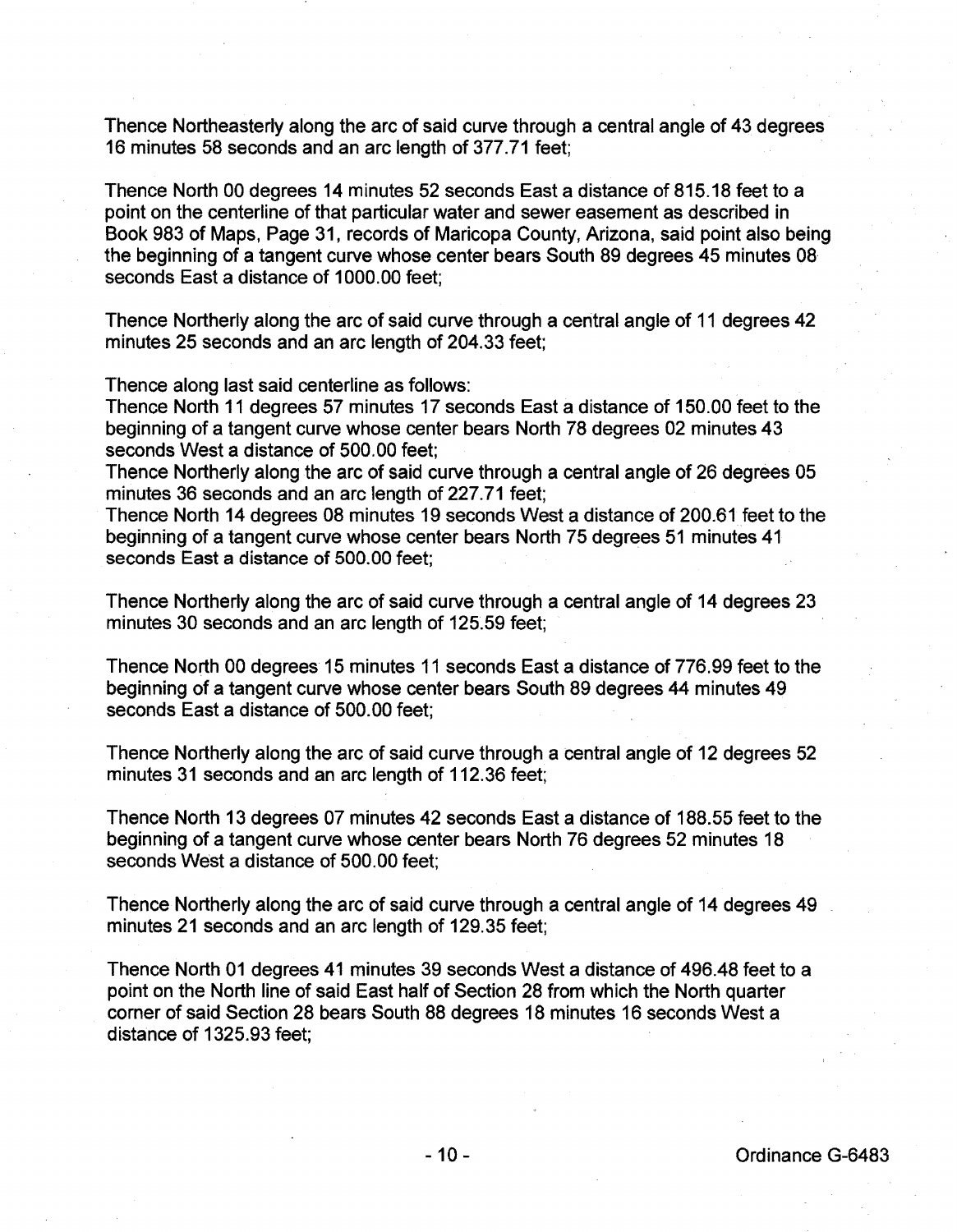Thence Northeasterly along the arc of said curve through a central angle of 43 degrees 16 minutes 58 seconds and an arc length of 377.71 feet;

Thence North 00 degrees 14 minutes 52 seconds East a distance of 815.18 feet to a point on the centerline of that particular water and sewer easement as described in Book 983 of Maps, Page 31, records of Maricopa County, Arizona, said point also being the beginning of a tangent curve whose center bears South 89 degrees 45 minutes 08 seconds East a distance of 1000.00 feet;

Thence Northerly along the arc of said curve through a central angle of 11 degrees 42 minutes 25 seconds and an arc length of 204.33 feet;

Thence along last said centerline as follows:

Thence North 11 degrees 57 minutes 17 seconds East a distance of 150.00 feet to the beginning of a tangent curve whose center bears North 78 degrees 02 minutes 43 seconds West a distance of 500.00 feet;

Thence Northerly along the arc of said curve through a central angle of 26 degrees 05 minutes 36 seconds and an arc length of 227.71 feet;

Thence North 14 degrees 08 minutes 19 seconds West a distance of 200.61 feet to the beginning of a tangent curve whose center bears North 75 degrees 51 minutes 41 seconds East a distance of 500.00 feet;

Thence Northerly along the arc of said curve through a central angle of 14 degrees 23 minutes 30 seconds and an arc length of 125.59 feet;

Thence North 00 degrees 15 minutes 11 seconds East a distance of 776.99 feet to the beginning of a tangent curve whose center bears South 89 degrees 44 minutes 49 seconds East a distance of 500.00 feet;

Thence Northerly along the arc of said curve through a central angle of 12 degrees 52 minutes 31 seconds and an arc length of 112.36 feet;

Thence North 13 degrees 07 minutes 42 seconds East a distance of 188.55 feet to the beginning of a tangent curve whose center bears North 76 degrees 52 minutes 18 seconds West a distance of 500.00 feet;

Thence Northerly along the arc of said curve through a central angle of 14 degrees 49 minutes 21 seconds and an arc length of 129.35 feet;

Thence North 01 degrees 41 minutes 39 seconds West a distance of 496.48 feet to a point on the North line of said East half of Section 28 from which the North quarter corner of said Section 28 bears South 88 degrees 18 minutes 16 seconds West a distance of 1325.93 feet;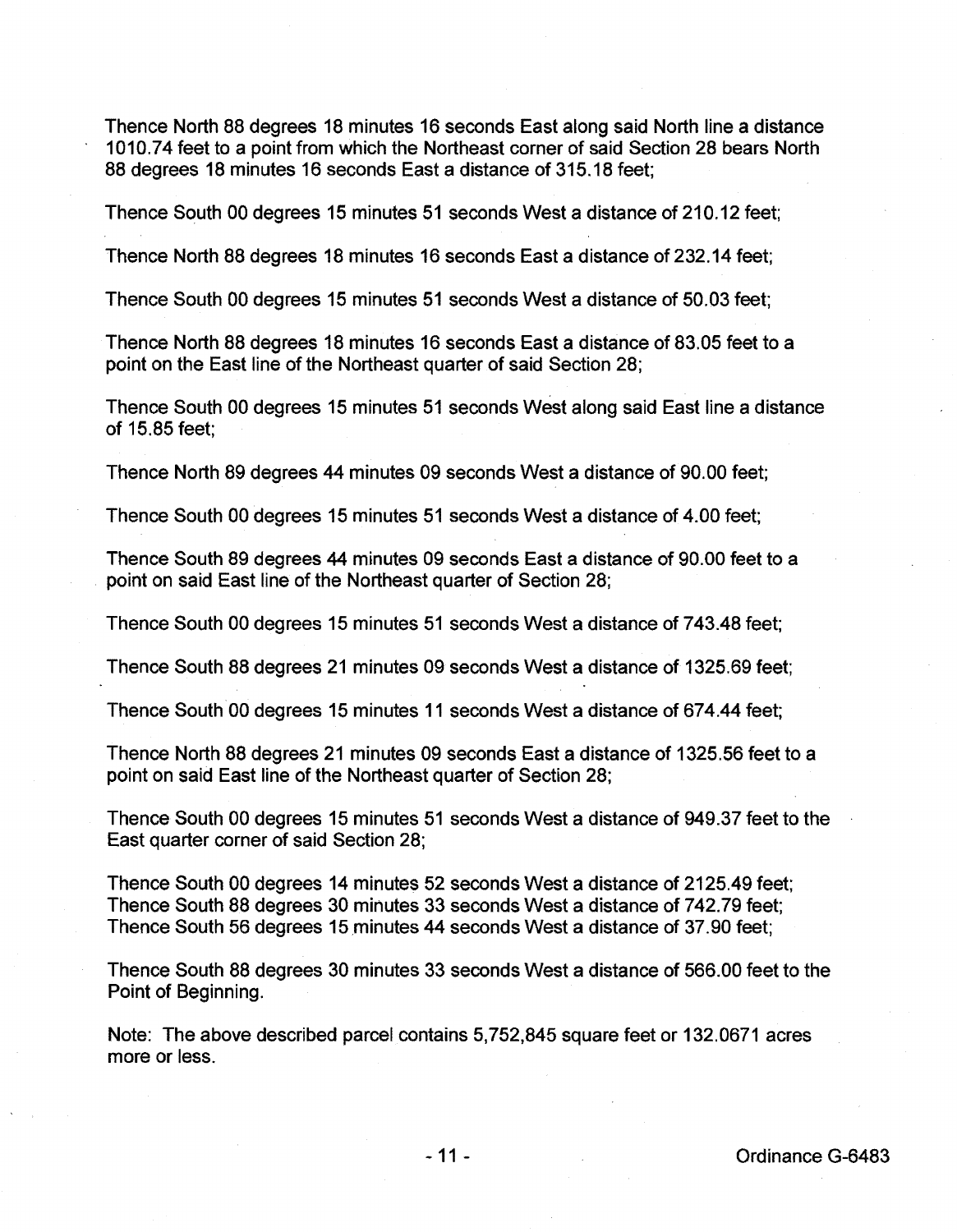Thence North 88 degrees 18 minutes 16 seconds East along said North line a distance 1010.74 feet to a point from which the Northeast corner of said Section 28 bears North 88 degrees 18 minutes 16 seconds East a distance of 315.18 feet;

Thence South 00 degrees 15 minutes 51 seconds West a distance of 210.12 feet;

Thence North 88 degrees 18 minutes 16 seconds East a distance of 232.14 feet;

Thence South 00 degrees 15 minutes 51 seconds West a distance of 50.03 feet;

Thence North 88 degrees 18 minutes 16 seconds East a distance of 83.05 feet to a point on the East line of the Northeast quarter of said Section 28;

Thence South 00 degrees 15 minutes 51 seconds West along said East line a distance of 15.85 feet;

Thence North 89 degrees 44 minutes 09 seconds West a distance of 90.00 feet;

Thence South 00 degrees 15 minutes 51 seconds West a distance of 4.00 feet;

Thence South 89 degrees 44 minutes 09 seconds East a distance of 90.00 feet to a point on said East line of the Northeast quarter of Section 28;

Thence South 00 degrees 15 minutes 51 seconds West a distance of 743.48 feet;

Thence South 88 degrees 21 minutes 09 seconds West a distance of 1325.69 feet;

Thence South 00 degrees 15 minutes 11 seconds West a distance of 674.44 feet;

Thence North 88 degrees 21 minutes 09 seconds East a distance of 1325.56 feet to a point on said East line of the Northeast quarter of Section 28;

Thence South 00 degrees 15 minutes 51 seconds West a distance of 949.37 feet to the East quarter corner of said Section 28;

Thence South 00 degrees 14 minutes 52 seconds West a distance of 2125.49 feet; Thence South 88 degrees 30 minutes 33 seconds West a distance of 7 42.79 feet; Thence South 56 degrees 15minutes 44 seconds West a distance of 37.90 feet;

Thence South 88 degrees 30 minutes 33 seconds West a distance of 566.00 feet to the Point of Beginning.

Note: The above described parcel contains 5,752,845 square feet or 132.0671 acres more or less.